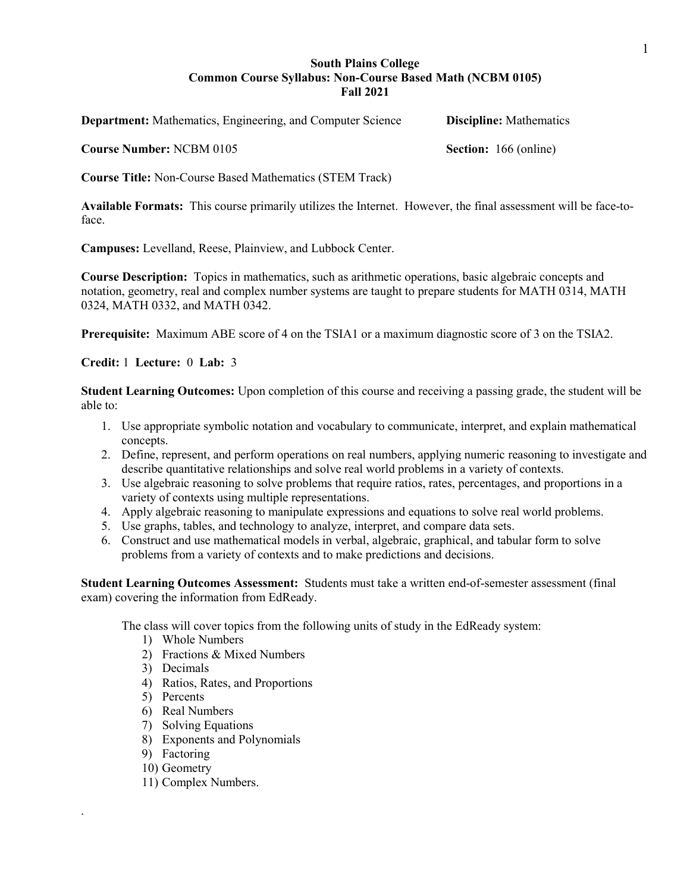# **South Plains College Common Course Syllabus: Non-Course Based Math (NCBM 0105) Fall 2021**

**Department:** Mathematics, Engineering, and Computer Science **Discipline:** Mathematics

**Course Number:** NCBM 0105 **Section:** 166 (online)

**Course Title:** Non-Course Based Mathematics (STEM Track)

**Available Formats:** This course primarily utilizes the Internet. However, the final assessment will be face-toface.

**Campuses:** Levelland, Reese, Plainview, and Lubbock Center.

**Course Description:** Topics in mathematics, such as arithmetic operations, basic algebraic concepts and notation, geometry, real and complex number systems are taught to prepare students for MATH 0314, MATH 0324, MATH 0332, and MATH 0342.

**Prerequisite:** Maximum ABE score of 4 on the TSIA1 or a maximum diagnostic score of 3 on the TSIA2.

**Credit:** 1 **Lecture:** 0 **Lab:** 3

**Student Learning Outcomes:** Upon completion of this course and receiving a passing grade, the student will be able to:

- 1. Use appropriate symbolic notation and vocabulary to communicate, interpret, and explain mathematical concepts.
- 2. Define, represent, and perform operations on real numbers, applying numeric reasoning to investigate and describe quantitative relationships and solve real world problems in a variety of contexts.
- 3. Use algebraic reasoning to solve problems that require ratios, rates, percentages, and proportions in a variety of contexts using multiple representations.
- 4. Apply algebraic reasoning to manipulate expressions and equations to solve real world problems.
- 5. Use graphs, tables, and technology to analyze, interpret, and compare data sets.
- 6. Construct and use mathematical models in verbal, algebraic, graphical, and tabular form to solve problems from a variety of contexts and to make predictions and decisions.

**Student Learning Outcomes Assessment:** Students must take a written end-of-semester assessment (final exam) covering the information from EdReady.

The class will cover topics from the following units of study in the EdReady system:

- 1) Whole Numbers
- 2) Fractions & Mixed Numbers
- 3) Decimals
- 4) Ratios, Rates, and Proportions
- 5) Percents
- 6) Real Numbers
- 7) Solving Equations
- 8) Exponents and Polynomials
- 9) Factoring
- 10) Geometry

.

11) Complex Numbers.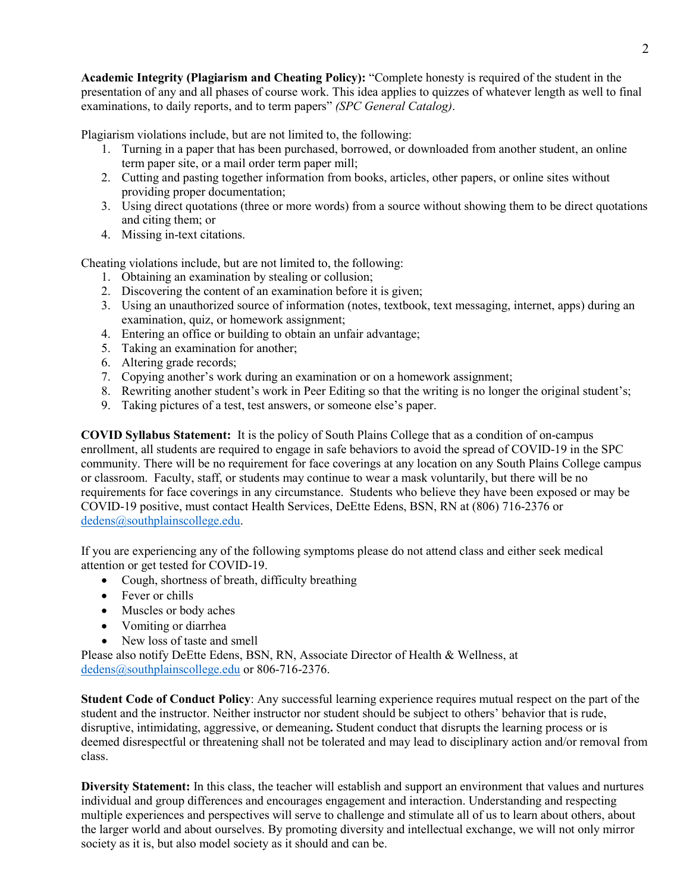**Academic Integrity (Plagiarism and Cheating Policy):** "Complete honesty is required of the student in the presentation of any and all phases of course work. This idea applies to quizzes of whatever length as well to final examinations, to daily reports, and to term papers" *(SPC General Catalog)*.

Plagiarism violations include, but are not limited to, the following:

- 1. Turning in a paper that has been purchased, borrowed, or downloaded from another student, an online term paper site, or a mail order term paper mill;
- 2. Cutting and pasting together information from books, articles, other papers, or online sites without providing proper documentation;
- 3. Using direct quotations (three or more words) from a source without showing them to be direct quotations and citing them; or
- 4. Missing in-text citations.

Cheating violations include, but are not limited to, the following:

- 1. Obtaining an examination by stealing or collusion;
- 2. Discovering the content of an examination before it is given;
- 3. Using an unauthorized source of information (notes, textbook, text messaging, internet, apps) during an examination, quiz, or homework assignment;
- 4. Entering an office or building to obtain an unfair advantage;
- 5. Taking an examination for another;
- 6. Altering grade records;
- 7. Copying another's work during an examination or on a homework assignment;
- 8. Rewriting another student's work in Peer Editing so that the writing is no longer the original student's;
- 9. Taking pictures of a test, test answers, or someone else's paper.

**COVID Syllabus Statement:** It is the policy of South Plains College that as a condition of on-campus enrollment, all students are required to engage in safe behaviors to avoid the spread of COVID-19 in the SPC community. There will be no requirement for face coverings at any location on any South Plains College campus or classroom. Faculty, staff, or students may continue to wear a mask voluntarily, but there will be no requirements for face coverings in any circumstance. Students who believe they have been exposed or may be COVID-19 positive, must contact Health Services, DeEtte Edens, BSN, RN at (806) 716-2376 or [dedens@southplainscollege.edu.](mailto:dedens@southplainscollege.edu)

If you are experiencing any of the following symptoms please do not attend class and either seek medical attention or get tested for COVID-19.

- Cough, shortness of breath, difficulty breathing
- Fever or chills
- Muscles or body aches
- Vomiting or diarrhea
- New loss of taste and smell

Please also notify DeEtte Edens, BSN, RN, Associate Director of Health & Wellness, at [dedens@southplainscollege.edu](mailto:dedens@southplainscollege.edu) or 806-716-2376.

**Student Code of Conduct Policy**: Any successful learning experience requires mutual respect on the part of the student and the instructor. Neither instructor nor student should be subject to others' behavior that is rude, disruptive, intimidating, aggressive, or demeaning**.** Student conduct that disrupts the learning process or is deemed disrespectful or threatening shall not be tolerated and may lead to disciplinary action and/or removal from class.

**Diversity Statement:** In this class, the teacher will establish and support an environment that values and nurtures individual and group differences and encourages engagement and interaction. Understanding and respecting multiple experiences and perspectives will serve to challenge and stimulate all of us to learn about others, about the larger world and about ourselves. By promoting diversity and intellectual exchange, we will not only mirror society as it is, but also model society as it should and can be.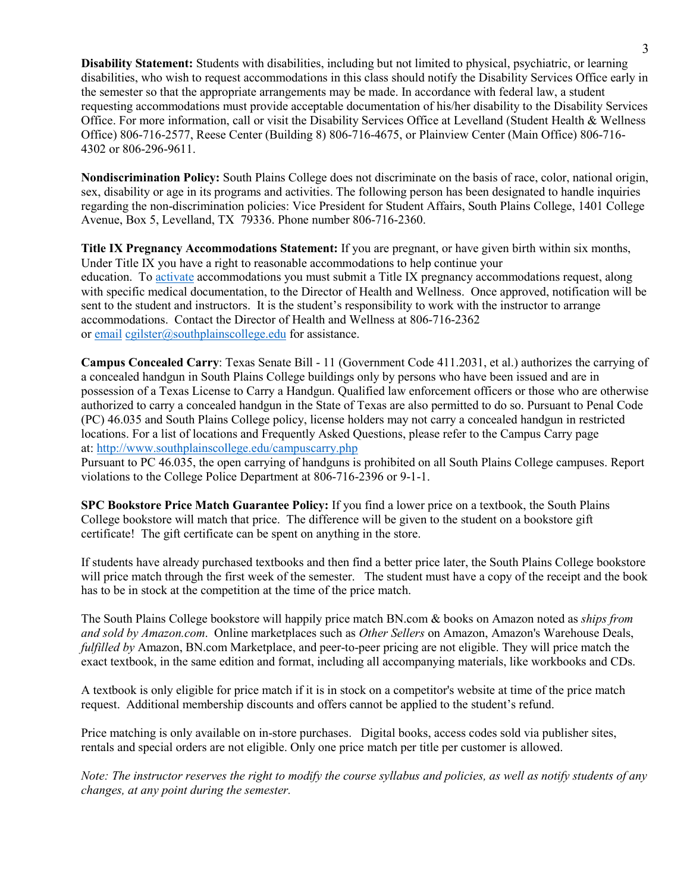**Disability Statement:** Students with disabilities, including but not limited to physical, psychiatric, or learning disabilities, who wish to request accommodations in this class should notify the Disability Services Office early in the semester so that the appropriate arrangements may be made. In accordance with federal law, a student requesting accommodations must provide acceptable documentation of his/her disability to the Disability Services Office. For more information, call or visit the Disability Services Office at Levelland (Student Health & Wellness Office) 806-716-2577, Reese Center (Building 8) 806-716-4675, or Plainview Center (Main Office) 806-716- 4302 or 806-296-9611.

**Nondiscrimination Policy:** South Plains College does not discriminate on the basis of race, color, national origin, sex, disability or age in its programs and activities. The following person has been designated to handle inquiries regarding the non-discrimination policies: Vice President for Student Affairs, South Plains College, 1401 College Avenue, Box 5, Levelland, TX 79336. Phone number 806-716-2360.

**Title IX Pregnancy Accommodations Statement:** If you are pregnant, or have given birth within six months, Under Title IX you have a right to reasonable accommodations to help continue your education. To [activate](http://www.southplainscollege.edu/employees/manualshandbooks/facultyhandbook/sec4.php) accommodations you must submit a Title IX pregnancy accommodations request, along with specific medical documentation, to the Director of Health and Wellness. Once approved, notification will be sent to the student and instructors. It is the student's responsibility to work with the instructor to arrange accommodations. Contact the Director of Health and Wellness at 806-716-2362 or [email](http://www.southplainscollege.edu/employees/manualshandbooks/facultyhandbook/sec4.php) [cgilster@southplainscollege.edu](mailto:cgilster@southplainscollege.edu) for assistance.

**Campus Concealed Carry**: Texas Senate Bill - 11 (Government Code 411.2031, et al.) authorizes the carrying of a concealed handgun in South Plains College buildings only by persons who have been issued and are in possession of a Texas License to Carry a Handgun. Qualified law enforcement officers or those who are otherwise authorized to carry a concealed handgun in the State of Texas are also permitted to do so. Pursuant to Penal Code (PC) 46.035 and South Plains College policy, license holders may not carry a concealed handgun in restricted locations. For a list of locations and Frequently Asked Questions, please refer to the Campus Carry page at: <http://www.southplainscollege.edu/campuscarry.php>

Pursuant to PC 46.035, the open carrying of handguns is prohibited on all South Plains College campuses. Report violations to the College Police Department at 806-716-2396 or 9-1-1.

**SPC Bookstore Price Match Guarantee Policy:** If you find a lower price on a textbook, the South Plains College bookstore will match that price. The difference will be given to the student on a bookstore gift certificate! The gift certificate can be spent on anything in the store.

If students have already purchased textbooks and then find a better price later, the South Plains College bookstore will price match through the first week of the semester. The student must have a copy of the receipt and the book has to be in stock at the competition at the time of the price match.

The South Plains College bookstore will happily price match BN.com & books on Amazon noted as *ships from and sold by Amazon.com*. Online marketplaces such as *Other Sellers* on Amazon, Amazon's Warehouse Deals, *fulfilled by* Amazon, BN.com Marketplace, and peer-to-peer pricing are not eligible. They will price match the exact textbook, in the same edition and format, including all accompanying materials, like workbooks and CDs.

A textbook is only eligible for price match if it is in stock on a competitor's website at time of the price match request. Additional membership discounts and offers cannot be applied to the student's refund.

Price matching is only available on in-store purchases. Digital books, access codes sold via publisher sites, rentals and special orders are not eligible. Only one price match per title per customer is allowed.

*Note: The instructor reserves the right to modify the course syllabus and policies, as well as notify students of any changes, at any point during the semester.*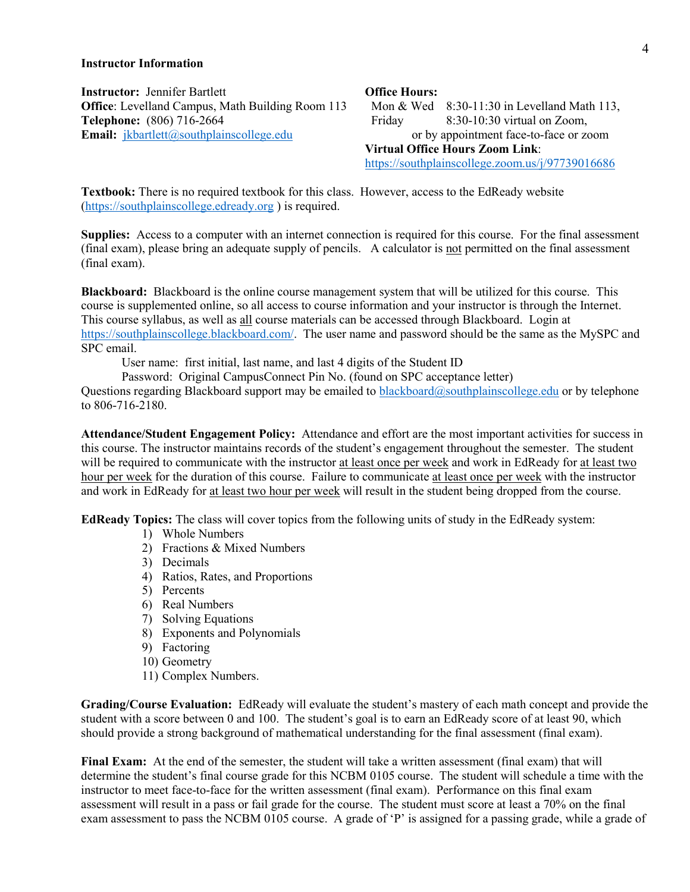### **Instructor Information**

**Instructor:** Jennifer Bartlett **Construction Office Hours: Office**: Levelland Campus, Math Building Room 113 Mon & Wed 8:30-11:30 in Levelland Math 113, **Telephone:** (806) 716-2664 **Friday** 8:30-10:30 virtual on Zoom, **Email:**  $\frac{1}{\text{ikbart}(\omega)}$ southplainscollege.edu or by appointment face-to-face or zoom

**Virtual Office Hours Zoom Link**: <https://southplainscollege.zoom.us/j/97739016686>

**Textbook:** There is no required textbook for this class. However, access to the EdReady website [\(https://southplainscollege.edready.org](https://southplainscollege.edready.org/) ) is required.

**Supplies:** Access to a computer with an internet connection is required for this course. For the final assessment (final exam), please bring an adequate supply of pencils. A calculator is not permitted on the final assessment (final exam).

**Blackboard:** Blackboard is the online course management system that will be utilized for this course. This course is supplemented online, so all access to course information and your instructor is through the Internet. This course syllabus, as well as all course materials can be accessed through Blackboard. Login at [https://southplainscollege.blackboard.com/.](https://southplainscollege.blackboard.com/) The user name and password should be the same as the MySPC and SPC email.

User name: first initial, last name, and last 4 digits of the Student ID

Password: Original CampusConnect Pin No. (found on SPC acceptance letter)

Questions regarding Blackboard support may be emailed to [blackboard@southplainscollege.edu](mailto:blackboard@southplainscollege.edu) or by telephone to 806-716-2180.

**Attendance/Student Engagement Policy:** Attendance and effort are the most important activities for success in this course. The instructor maintains records of the student's engagement throughout the semester. The student will be required to communicate with the instructor at least once per week and work in EdReady for at least two hour per week for the duration of this course. Failure to communicate at least once per week with the instructor and work in EdReady for at least two hour per week will result in the student being dropped from the course.

**EdReady Topics:** The class will cover topics from the following units of study in the EdReady system:

- 1) Whole Numbers
- 2) Fractions & Mixed Numbers
- 3) Decimals
- 4) Ratios, Rates, and Proportions
- 5) Percents
- 6) Real Numbers
- 7) Solving Equations
- 8) Exponents and Polynomials
- 9) Factoring
- 10) Geometry
- 11) Complex Numbers.

**Grading/Course Evaluation:** EdReady will evaluate the student's mastery of each math concept and provide the student with a score between 0 and 100. The student's goal is to earn an EdReady score of at least 90, which should provide a strong background of mathematical understanding for the final assessment (final exam).

Final Exam: At the end of the semester, the student will take a written assessment (final exam) that will determine the student's final course grade for this NCBM 0105 course. The student will schedule a time with the instructor to meet face-to-face for the written assessment (final exam). Performance on this final exam assessment will result in a pass or fail grade for the course. The student must score at least a 70% on the final exam assessment to pass the NCBM 0105 course. A grade of 'P' is assigned for a passing grade, while a grade of